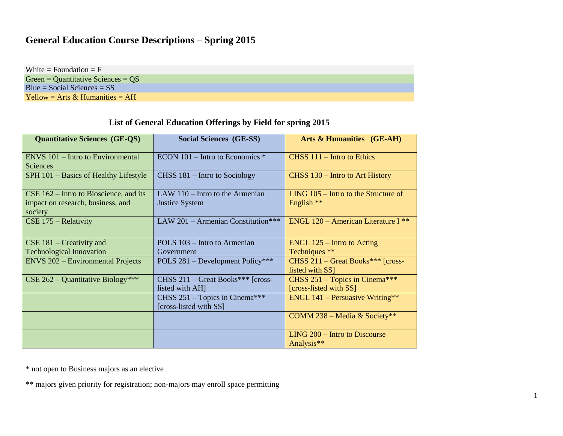## **General Education Course Descriptions – Spring 2015**

White  $=$  Foundation  $=$  F Green = Quantitative Sciences = QS Blue = Social Sciences = SS Yellow = Arts  $&$  Humanities = AH

## **List of General Education Offerings by Field for spring 2015**

| <b>Quantitative Sciences (GE-QS)</b>                                                     | <b>Social Sciences (GE-SS)</b>                                    | Arts & Humanities (GE-AH)                              |
|------------------------------------------------------------------------------------------|-------------------------------------------------------------------|--------------------------------------------------------|
| ENVS 101 – Intro to Environmental<br><b>Sciences</b>                                     | $ECON$ 101 – Intro to Economics $*$                               | CHSS $111$ – Intro to Ethics                           |
| SPH 101 – Basics of Healthy Lifestyle                                                    | $CHSS 181 - Intro to Sociology$                                   | CHSS 130 – Intro to Art History                        |
| $CSE$ 162 – Intro to Bioscience, and its<br>impact on research, business, and<br>society | LAW $110$ – Intro to the Armenian<br><b>Justice System</b>        | $LING$ 105 – Intro to the Structure of<br>English **   |
| $CSE$ 175 – Relativity                                                                   | LAW 201 - Armenian Constitution***                                | ENGL 120 – American Literature I $**$                  |
| $CSE$ 181 – Creativity and                                                               | POLS 103 – Intro to Armenian                                      | $ENGL$ 125 – Intro to Acting                           |
| <b>Technological Innovation</b>                                                          | Government                                                        | Techniques **                                          |
| <b>ENVS 202 – Environmental Projects</b>                                                 | POLS 281 – Development Policy***                                  | CHSS $211 -$ Great Books*** [cross-<br>listed with SS] |
| $CSE 262 - Quantitative Biology***$                                                      | $CHSS 211 - Great Books***$ [cross-                               | CHSS $251 - \text{Topics}$ in Cinema***                |
|                                                                                          | listed with AH]                                                   | [cross-listed with SS]                                 |
|                                                                                          | CHSS $251 - \text{Topics}$ in Cinema***<br>[cross-listed with SS] | ENGL $141$ – Persuasive Writing**                      |
|                                                                                          |                                                                   | COMM 238 – Media & Society**                           |
|                                                                                          |                                                                   | LING 200 – Intro to Discourse<br>Analysis**            |

\* not open to Business majors as an elective

\*\* majors given priority for registration; non-majors may enroll space permitting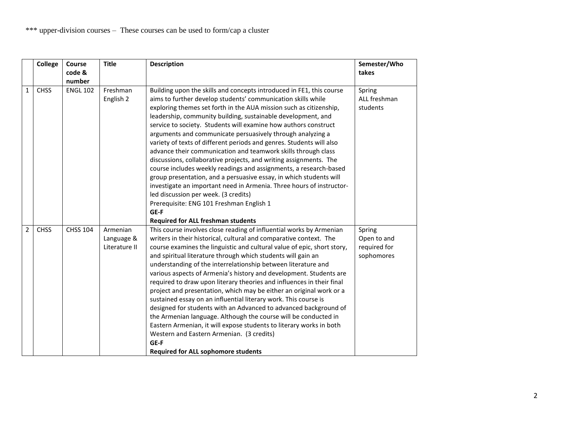|                | <b>College</b> | <b>Course</b>    | <b>Title</b>                            | <b>Description</b>                                                                                                                                                                                                                                                                                                                                                                                                                                                                                                                                                                                                                                                                                                                                                                                                                                                                                                                                                                                           | Semester/Who                                        |
|----------------|----------------|------------------|-----------------------------------------|--------------------------------------------------------------------------------------------------------------------------------------------------------------------------------------------------------------------------------------------------------------------------------------------------------------------------------------------------------------------------------------------------------------------------------------------------------------------------------------------------------------------------------------------------------------------------------------------------------------------------------------------------------------------------------------------------------------------------------------------------------------------------------------------------------------------------------------------------------------------------------------------------------------------------------------------------------------------------------------------------------------|-----------------------------------------------------|
|                |                | code &<br>number |                                         |                                                                                                                                                                                                                                                                                                                                                                                                                                                                                                                                                                                                                                                                                                                                                                                                                                                                                                                                                                                                              | takes                                               |
| $\mathbf{1}$   | <b>CHSS</b>    | <b>ENGL 102</b>  | Freshman<br>English 2                   | Building upon the skills and concepts introduced in FE1, this course<br>aims to further develop students' communication skills while<br>exploring themes set forth in the AUA mission such as citizenship,<br>leadership, community building, sustainable development, and<br>service to society. Students will examine how authors construct<br>arguments and communicate persuasively through analyzing a<br>variety of texts of different periods and genres. Students will also<br>advance their communication and teamwork skills through class<br>discussions, collaborative projects, and writing assignments. The<br>course includes weekly readings and assignments, a research-based<br>group presentation, and a persuasive essay, in which students will<br>investigate an important need in Armenia. Three hours of instructor-<br>led discussion per week. (3 credits)<br>Prerequisite: ENG 101 Freshman English 1<br>GE-F                                                                     | Spring<br>ALL freshman<br>students                  |
| $\overline{2}$ | <b>CHSS</b>    | <b>CHSS 104</b>  | Armenian<br>Language &<br>Literature II | <b>Required for ALL freshman students</b><br>This course involves close reading of influential works by Armenian<br>writers in their historical, cultural and comparative context. The<br>course examines the linguistic and cultural value of epic, short story,<br>and spiritual literature through which students will gain an<br>understanding of the interrelationship between literature and<br>various aspects of Armenia's history and development. Students are<br>required to draw upon literary theories and influences in their final<br>project and presentation, which may be either an original work or a<br>sustained essay on an influential literary work. This course is<br>designed for students with an Advanced to advanced background of<br>the Armenian language. Although the course will be conducted in<br>Eastern Armenian, it will expose students to literary works in both<br>Western and Eastern Armenian. (3 credits)<br>GE-F<br><b>Required for ALL sophomore students</b> | Spring<br>Open to and<br>required for<br>sophomores |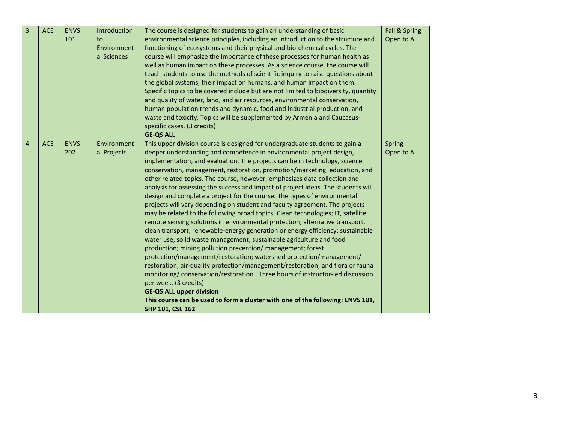| 3              | <b>ACE</b> | <b>ENVS</b><br>101 | Introduction<br>to<br>Environment<br>al Sciences | The course is designed for students to gain an understanding of basic<br>environmental science principles, including an introduction to the structure and<br>functioning of ecosystems and their physical and bio-chemical cycles. The<br>course will emphasize the importance of these processes for human health as<br>well as human impact on these processes. As a science course, the course will<br>teach students to use the methods of scientific inquiry to raise questions about<br>the global systems, their impact on humans, and human impact on them.<br>Specific topics to be covered include but are not limited to biodiversity, quantity<br>and quality of water, land, and air resources, environmental conservation,<br>human population trends and dynamic, food and industrial production, and<br>waste and toxicity. Topics will be supplemented by Armenia and Caucasus-<br>specific cases. (3 credits)<br><b>GE-QS ALL</b>                                                                                                                                                                                                                                                                                                                                                                                                                                                                                                   | <b>Fall &amp; Spring</b><br>Open to ALL |
|----------------|------------|--------------------|--------------------------------------------------|-------------------------------------------------------------------------------------------------------------------------------------------------------------------------------------------------------------------------------------------------------------------------------------------------------------------------------------------------------------------------------------------------------------------------------------------------------------------------------------------------------------------------------------------------------------------------------------------------------------------------------------------------------------------------------------------------------------------------------------------------------------------------------------------------------------------------------------------------------------------------------------------------------------------------------------------------------------------------------------------------------------------------------------------------------------------------------------------------------------------------------------------------------------------------------------------------------------------------------------------------------------------------------------------------------------------------------------------------------------------------------------------------------------------------------------------------------|-----------------------------------------|
| $\overline{4}$ | ACE        | <b>ENVS</b><br>202 | Environment<br>al Projects                       | This upper division course is designed for undergraduate students to gain a<br>deeper understanding and competence in environmental project design,<br>implementation, and evaluation. The projects can be in technology, science,<br>conservation, management, restoration, promotion/marketing, education, and<br>other related topics. The course, however, emphasizes data collection and<br>analysis for assessing the success and impact of project ideas. The students will<br>design and complete a project for the course. The types of environmental<br>projects will vary depending on student and faculty agreement. The projects<br>may be related to the following broad topics: Clean technologies; IT, satellite,<br>remote sensing solutions in environmental protection; alternative transport,<br>clean transport; renewable-energy generation or energy efficiency; sustainable<br>water use, solid waste management, sustainable agriculture and food<br>production; mining pollution prevention/ management; forest<br>protection/management/restoration; watershed protection/management/<br>restoration; air-quality protection/management/restoration; and flora or fauna<br>monitoring/conservation/restoration. Three hours of instructor-led discussion<br>per week. (3 credits)<br><b>GE-QS ALL upper division</b><br>This course can be used to form a cluster with one of the following: ENVS 101,<br>SHP 101, CSE 162 | Spring<br>Open to ALL                   |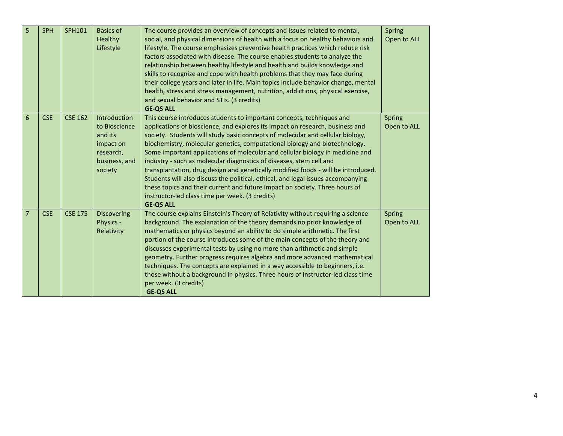| 5              | SPH        | SPH101         | <b>Basics of</b><br>Healthy<br>Lifestyle                                                       | The course provides an overview of concepts and issues related to mental,<br>social, and physical dimensions of health with a focus on healthy behaviors and<br>lifestyle. The course emphasizes preventive health practices which reduce risk<br>factors associated with disease. The course enables students to analyze the<br>relationship between healthy lifestyle and health and builds knowledge and<br>skills to recognize and cope with health problems that they may face during<br>their college years and later in life. Main topics include behavior change, mental<br>health, stress and stress management, nutrition, addictions, physical exercise,<br>and sexual behavior and STIs. (3 credits)<br><b>GE-QS ALL</b>                                                                          | Spring<br>Open to ALL        |
|----------------|------------|----------------|------------------------------------------------------------------------------------------------|---------------------------------------------------------------------------------------------------------------------------------------------------------------------------------------------------------------------------------------------------------------------------------------------------------------------------------------------------------------------------------------------------------------------------------------------------------------------------------------------------------------------------------------------------------------------------------------------------------------------------------------------------------------------------------------------------------------------------------------------------------------------------------------------------------------|------------------------------|
| 6              | <b>CSE</b> | <b>CSE 162</b> | Introduction<br>to Bioscience<br>and its<br>impact on<br>research,<br>business, and<br>society | This course introduces students to important concepts, techniques and<br>applications of bioscience, and explores its impact on research, business and<br>society. Students will study basic concepts of molecular and cellular biology,<br>biochemistry, molecular genetics, computational biology and biotechnology.<br>Some important applications of molecular and cellular biology in medicine and<br>industry - such as molecular diagnostics of diseases, stem cell and<br>transplantation, drug design and genetically modified foods - will be introduced.<br>Students will also discuss the political, ethical, and legal issues accompanying<br>these topics and their current and future impact on society. Three hours of<br>instructor-led class time per week. (3 credits)<br><b>GE-QS ALL</b> | <b>Spring</b><br>Open to ALL |
| $\overline{7}$ | <b>CSE</b> | <b>CSE 175</b> | Discovering<br>Physics -<br>Relativity                                                         | The course explains Einstein's Theory of Relativity without requiring a science<br>background. The explanation of the theory demands no prior knowledge of<br>mathematics or physics beyond an ability to do simple arithmetic. The first<br>portion of the course introduces some of the main concepts of the theory and<br>discusses experimental tests by using no more than arithmetic and simple<br>geometry. Further progress requires algebra and more advanced mathematical<br>techniques. The concepts are explained in a way accessible to beginners, i.e.<br>those without a background in physics. Three hours of instructor-led class time<br>per week. (3 credits)<br><b>GE-QS ALL</b>                                                                                                          | Spring<br>Open to ALL        |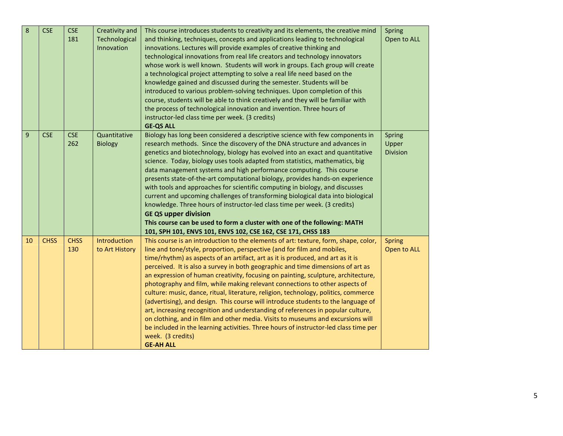| 8  | <b>CSE</b>  | <b>CSE</b><br>181  | Creativity and<br>Technological<br>Innovation | This course introduces students to creativity and its elements, the creative mind<br>and thinking, techniques, concepts and applications leading to technological<br>innovations. Lectures will provide examples of creative thinking and<br>technological innovations from real life creators and technology innovators<br>whose work is well known. Students will work in groups. Each group will create<br>a technological project attempting to solve a real life need based on the<br>knowledge gained and discussed during the semester. Students will be<br>introduced to various problem-solving techniques. Upon completion of this<br>course, students will be able to think creatively and they will be familiar with<br>the process of technological innovation and invention. Three hours of<br>instructor-led class time per week. (3 credits)<br><b>GE-QS ALL</b>                                                                                                            | Spring<br>Open to ALL              |
|----|-------------|--------------------|-----------------------------------------------|---------------------------------------------------------------------------------------------------------------------------------------------------------------------------------------------------------------------------------------------------------------------------------------------------------------------------------------------------------------------------------------------------------------------------------------------------------------------------------------------------------------------------------------------------------------------------------------------------------------------------------------------------------------------------------------------------------------------------------------------------------------------------------------------------------------------------------------------------------------------------------------------------------------------------------------------------------------------------------------------|------------------------------------|
| 9  | <b>CSE</b>  | <b>CSE</b><br>262  | Quantitative<br><b>Biology</b>                | Biology has long been considered a descriptive science with few components in<br>research methods. Since the discovery of the DNA structure and advances in<br>genetics and biotechnology, biology has evolved into an exact and quantitative<br>science. Today, biology uses tools adapted from statistics, mathematics, big<br>data management systems and high performance computing. This course<br>presents state-of-the-art computational biology, provides hands-on experience<br>with tools and approaches for scientific computing in biology, and discusses<br>current and upcoming challenges of transforming biological data into biological<br>knowledge. Three hours of instructor-led class time per week. (3 credits)<br><b>GE QS upper division</b><br>This course can be used to form a cluster with one of the following: MATH<br>101, SPH 101, ENVS 101, ENVS 102, CSE 162, CSE 171, CHSS 183                                                                           | Spring<br>Upper<br><b>Division</b> |
| 10 | <b>CHSS</b> | <b>CHSS</b><br>130 | Introduction<br>to Art History                | This course is an introduction to the elements of art: texture, form, shape, color,<br>line and tone/style, proportion, perspective (and for film and mobiles,<br>time/rhythm) as aspects of an artifact, art as it is produced, and art as it is<br>perceived. It is also a survey in both geographic and time dimensions of art as<br>an expression of human creativity, focusing on painting, sculpture, architecture,<br>photography and film, while making relevant connections to other aspects of<br>culture: music, dance, ritual, literature, religion, technology, politics, commerce<br>(advertising), and design. This course will introduce students to the language of<br>art, increasing recognition and understanding of references in popular culture,<br>on clothing, and in film and other media. Visits to museums and excursions will<br>be included in the learning activities. Three hours of instructor-led class time per<br>week. (3 credits)<br><b>GE-AH ALL</b> | <b>Spring</b><br>Open to ALL       |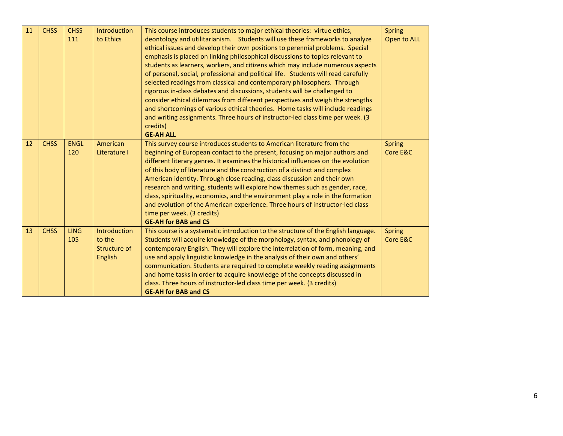| 11 | <b>CHSS</b> | <b>CHSS</b><br>111 | Introduction<br>to Ethics                                | This course introduces students to major ethical theories: virtue ethics,<br>deontology and utilitarianism. Students will use these frameworks to analyze<br>ethical issues and develop their own positions to perennial problems. Special<br>emphasis is placed on linking philosophical discussions to topics relevant to<br>students as learners, workers, and citizens which may include numerous aspects<br>of personal, social, professional and political life. Students will read carefully<br>selected readings from classical and contemporary philosophers. Through<br>rigorous in-class debates and discussions, students will be challenged to<br>consider ethical dilemmas from different perspectives and weigh the strengths<br>and shortcomings of various ethical theories. Home tasks will include readings<br>and writing assignments. Three hours of instructor-led class time per week. (3<br>credits)<br><b>GE-AH ALL</b> | <b>Spring</b><br>Open to ALL |
|----|-------------|--------------------|----------------------------------------------------------|--------------------------------------------------------------------------------------------------------------------------------------------------------------------------------------------------------------------------------------------------------------------------------------------------------------------------------------------------------------------------------------------------------------------------------------------------------------------------------------------------------------------------------------------------------------------------------------------------------------------------------------------------------------------------------------------------------------------------------------------------------------------------------------------------------------------------------------------------------------------------------------------------------------------------------------------------|------------------------------|
| 12 | <b>CHSS</b> | <b>ENGL</b><br>120 | American<br>Literature I                                 | This survey course introduces students to American literature from the<br>beginning of European contact to the present, focusing on major authors and<br>different literary genres. It examines the historical influences on the evolution<br>of this body of literature and the construction of a distinct and complex<br>American identity. Through close reading, class discussion and their own<br>research and writing, students will explore how themes such as gender, race,<br>class, spirituality, economics, and the environment play a role in the formation<br>and evolution of the American experience. Three hours of instructor-led class<br>time per week. (3 credits)<br><b>GE-AH for BAB and CS</b>                                                                                                                                                                                                                            | <b>Spring</b><br>Core E&C    |
| 13 | <b>CHSS</b> | <b>LING</b><br>105 | Introduction<br>to the<br>Structure of<br><b>English</b> | This course is a systematic introduction to the structure of the English language.<br>Students will acquire knowledge of the morphology, syntax, and phonology of<br>contemporary English. They will explore the interrelation of form, meaning, and<br>use and apply linguistic knowledge in the analysis of their own and others'<br>communication. Students are required to complete weekly reading assignments<br>and home tasks in order to acquire knowledge of the concepts discussed in<br>class. Three hours of instructor-led class time per week. (3 credits)<br><b>GE-AH for BAB and CS</b>                                                                                                                                                                                                                                                                                                                                          | <b>Spring</b><br>Core E&C    |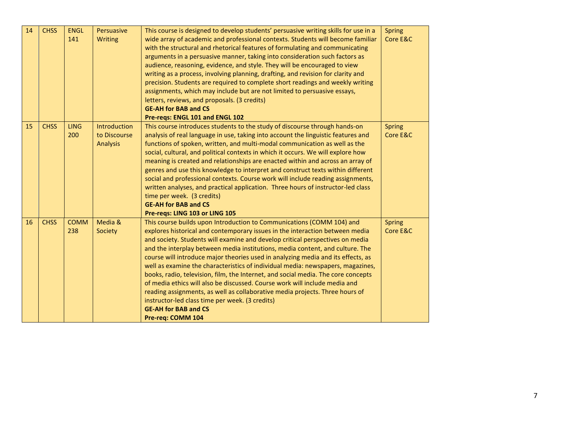| 14 | <b>CHSS</b> | <b>ENGL</b><br>141 | Persuasive<br>Writing                                  | This course is designed to develop students' persuasive writing skills for use in a<br>wide array of academic and professional contexts. Students will become familiar<br>with the structural and rhetorical features of formulating and communicating<br>arguments in a persuasive manner, taking into consideration such factors as<br>audience, reasoning, evidence, and style. They will be encouraged to view<br>writing as a process, involving planning, drafting, and revision for clarity and<br>precision. Students are required to complete short readings and weekly writing<br>assignments, which may include but are not limited to persuasive essays,<br>letters, reviews, and proposals. (3 credits)<br><b>GE-AH for BAB and CS</b><br>Pre-reqs: ENGL 101 and ENGL 102                                                                   | <b>Spring</b><br>Core E&C |
|----|-------------|--------------------|--------------------------------------------------------|----------------------------------------------------------------------------------------------------------------------------------------------------------------------------------------------------------------------------------------------------------------------------------------------------------------------------------------------------------------------------------------------------------------------------------------------------------------------------------------------------------------------------------------------------------------------------------------------------------------------------------------------------------------------------------------------------------------------------------------------------------------------------------------------------------------------------------------------------------|---------------------------|
| 15 | <b>CHSS</b> | <b>LING</b><br>200 | <b>Introduction</b><br>to Discourse<br><b>Analysis</b> | This course introduces students to the study of discourse through hands-on<br>analysis of real language in use, taking into account the linguistic features and<br>functions of spoken, written, and multi-modal communication as well as the<br>social, cultural, and political contexts in which it occurs. We will explore how<br>meaning is created and relationships are enacted within and across an array of<br>genres and use this knowledge to interpret and construct texts within different<br>social and professional contexts. Course work will include reading assignments,<br>written analyses, and practical application. Three hours of instructor-led class<br>time per week. (3 credits)<br><b>GE-AH for BAB and CS</b><br>Pre-regs: LING 103 or LING 105                                                                             | <b>Spring</b><br>Core E&C |
| 16 | <b>CHSS</b> | <b>COMM</b><br>238 | Media &<br>Society                                     | This course builds upon Introduction to Communications (COMM 104) and<br>explores historical and contemporary issues in the interaction between media<br>and society. Students will examine and develop critical perspectives on media<br>and the interplay between media institutions, media content, and culture. The<br>course will introduce major theories used in analyzing media and its effects, as<br>well as examine the characteristics of individual media: newspapers, magazines,<br>books, radio, television, film, the Internet, and social media. The core concepts<br>of media ethics will also be discussed. Course work will include media and<br>reading assignments, as well as collaborative media projects. Three hours of<br>instructor-led class time per week. (3 credits)<br><b>GE-AH for BAB and CS</b><br>Pre-req: COMM 104 | <b>Spring</b><br>Core E&C |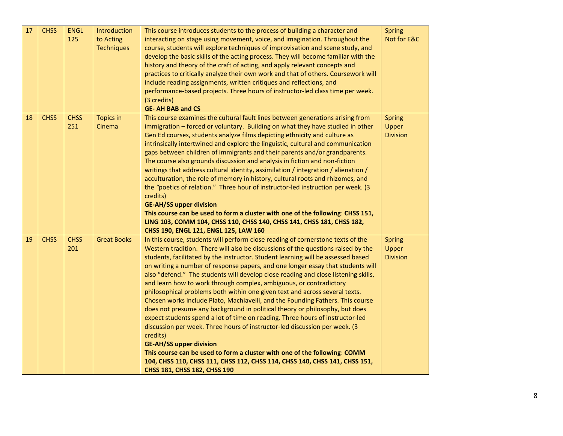| 17 | <b>CHSS</b> | <b>ENGL</b><br>125 | Introduction<br>to Acting<br><b>Techniques</b> | This course introduces students to the process of building a character and<br>interacting on stage using movement, voice, and imagination. Throughout the<br>course, students will explore techniques of improvisation and scene study, and<br>develop the basic skills of the acting process. They will become familiar with the<br>history and theory of the craft of acting, and apply relevant concepts and<br>practices to critically analyze their own work and that of others. Coursework will<br>include reading assignments, written critiques and reflections, and<br>performance-based projects. Three hours of instructor-led class time per week.<br>(3 credits)<br><b>GE- AH BAB and CS</b>                                                                                                                                                                                                                                                                                                                                                                                                                                                      | <b>Spring</b><br>Not for E&C              |
|----|-------------|--------------------|------------------------------------------------|----------------------------------------------------------------------------------------------------------------------------------------------------------------------------------------------------------------------------------------------------------------------------------------------------------------------------------------------------------------------------------------------------------------------------------------------------------------------------------------------------------------------------------------------------------------------------------------------------------------------------------------------------------------------------------------------------------------------------------------------------------------------------------------------------------------------------------------------------------------------------------------------------------------------------------------------------------------------------------------------------------------------------------------------------------------------------------------------------------------------------------------------------------------|-------------------------------------------|
| 18 | <b>CHSS</b> | <b>CHSS</b><br>251 | <b>Topics in</b><br>Cinema                     | This course examines the cultural fault lines between generations arising from<br>immigration - forced or voluntary. Building on what they have studied in other<br>Gen Ed courses, students analyze films depicting ethnicity and culture as<br>intrinsically intertwined and explore the linguistic, cultural and communication<br>gaps between children of immigrants and their parents and/or grandparents.<br>The course also grounds discussion and analysis in fiction and non-fiction<br>writings that address cultural identity, assimilation / integration / alienation /<br>acculturation, the role of memory in history, cultural roots and rhizomes, and<br>the "poetics of relation." Three hour of instructor-led instruction per week. (3<br>credits)<br><b>GE-AH/SS upper division</b><br>This course can be used to form a cluster with one of the following: CHSS 151,<br>LING 103, COMM 104, CHSS 110, CHSS 140, CHSS 141, CHSS 181, CHSS 182,<br>CHSS 190, ENGL 121, ENGL 125, LAW 160                                                                                                                                                    | <b>Spring</b><br>Upper<br><b>Division</b> |
| 19 | <b>CHSS</b> | <b>CHSS</b><br>201 | <b>Great Books</b>                             | In this course, students will perform close reading of cornerstone texts of the<br>Western tradition. There will also be discussions of the questions raised by the<br>students, facilitated by the instructor. Student learning will be assessed based<br>on writing a number of response papers, and one longer essay that students will<br>also "defend." The students will develop close reading and close listening skills,<br>and learn how to work through complex, ambiguous, or contradictory<br>philosophical problems both within one given text and across several texts.<br>Chosen works include Plato, Machiavelli, and the Founding Fathers. This course<br>does not presume any background in political theory or philosophy, but does<br>expect students spend a lot of time on reading. Three hours of instructor-led<br>discussion per week. Three hours of instructor-led discussion per week. (3<br>credits)<br><b>GE-AH/SS upper division</b><br>This course can be used to form a cluster with one of the following: COMM<br>104, CHSS 110, CHSS 111, CHSS 112, CHSS 114, CHSS 140, CHSS 141, CHSS 151,<br>CHSS 181, CHSS 182, CHSS 190 | <b>Spring</b><br>Upper<br><b>Division</b> |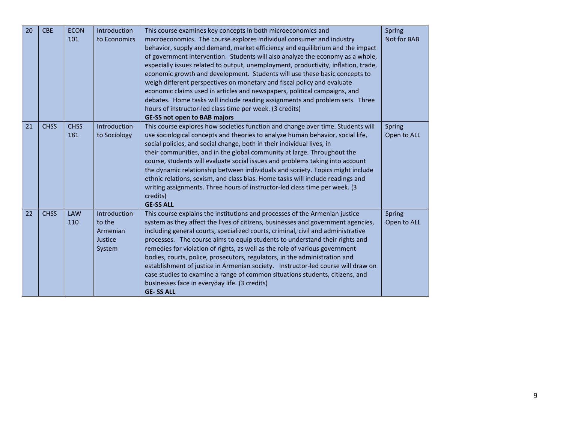| 20 | <b>CBE</b>  | <b>ECON</b><br>101 | Introduction<br>to Economics                            | This course examines key concepts in both microeconomics and<br>macroeconomics. The course explores individual consumer and industry<br>behavior, supply and demand, market efficiency and equilibrium and the impact<br>of government intervention. Students will also analyze the economy as a whole,<br>especially issues related to output, unemployment, productivity, inflation, trade,<br>economic growth and development. Students will use these basic concepts to<br>weigh different perspectives on monetary and fiscal policy and evaluate<br>economic claims used in articles and newspapers, political campaigns, and<br>debates. Home tasks will include reading assignments and problem sets. Three<br>hours of instructor-led class time per week. (3 credits)<br><b>GE-SS not open to BAB majors</b> | Spring<br>Not for BAB |
|----|-------------|--------------------|---------------------------------------------------------|------------------------------------------------------------------------------------------------------------------------------------------------------------------------------------------------------------------------------------------------------------------------------------------------------------------------------------------------------------------------------------------------------------------------------------------------------------------------------------------------------------------------------------------------------------------------------------------------------------------------------------------------------------------------------------------------------------------------------------------------------------------------------------------------------------------------|-----------------------|
| 21 | <b>CHSS</b> | <b>CHSS</b><br>181 | Introduction<br>to Sociology                            | This course explores how societies function and change over time. Students will<br>use sociological concepts and theories to analyze human behavior, social life,<br>social policies, and social change, both in their individual lives, in<br>their communities, and in the global community at large. Throughout the<br>course, students will evaluate social issues and problems taking into account<br>the dynamic relationship between individuals and society. Topics might include<br>ethnic relations, sexism, and class bias. Home tasks will include readings and<br>writing assignments. Three hours of instructor-led class time per week. (3<br>credits)<br><b>GE-SS ALL</b>                                                                                                                              | Spring<br>Open to ALL |
| 22 | <b>CHSS</b> | <b>LAW</b><br>110  | Introduction<br>to the<br>Armenian<br>Justice<br>System | This course explains the institutions and processes of the Armenian justice<br>system as they affect the lives of citizens, businesses and government agencies,<br>including general courts, specialized courts, criminal, civil and administrative<br>processes. The course aims to equip students to understand their rights and<br>remedies for violation of rights, as well as the role of various government<br>bodies, courts, police, prosecutors, regulators, in the administration and<br>establishment of justice in Armenian society. Instructor-led course will draw on<br>case studies to examine a range of common situations students, citizens, and<br>businesses face in everyday life. (3 credits)<br><b>GE-SS ALL</b>                                                                               | Spring<br>Open to ALL |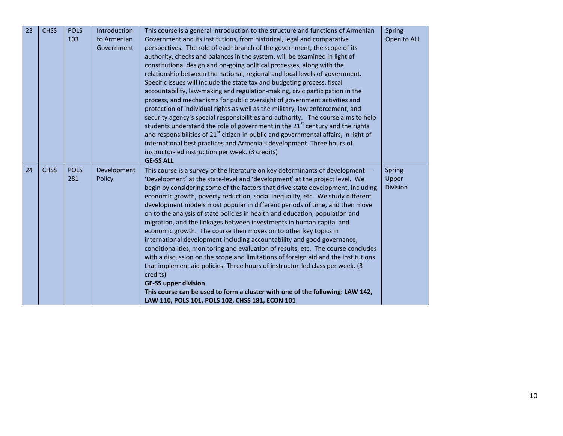| 23 | <b>CHSS</b> | <b>POLS</b><br>103 | Introduction<br>to Armenian<br>Government | This course is a general introduction to the structure and functions of Armenian<br>Government and its institutions, from historical, legal and comparative<br>perspectives. The role of each branch of the government, the scope of its<br>authority, checks and balances in the system, will be examined in light of<br>constitutional design and on-going political processes, along with the<br>relationship between the national, regional and local levels of government.<br>Specific issues will include the state tax and budgeting process, fiscal<br>accountability, law-making and regulation-making, civic participation in the<br>process, and mechanisms for public oversight of government activities and<br>protection of individual rights as well as the military, law enforcement, and<br>security agency's special responsibilities and authority. The course aims to help<br>students understand the role of government in the 21 <sup>st</sup> century and the rights<br>and responsibilities of 21 <sup>st</sup> citizen in public and governmental affairs, in light of<br>international best practices and Armenia's development. Three hours of<br>instructor-led instruction per week. (3 credits)<br><b>GE-SS ALL</b> | Spring<br>Open to ALL              |
|----|-------------|--------------------|-------------------------------------------|---------------------------------------------------------------------------------------------------------------------------------------------------------------------------------------------------------------------------------------------------------------------------------------------------------------------------------------------------------------------------------------------------------------------------------------------------------------------------------------------------------------------------------------------------------------------------------------------------------------------------------------------------------------------------------------------------------------------------------------------------------------------------------------------------------------------------------------------------------------------------------------------------------------------------------------------------------------------------------------------------------------------------------------------------------------------------------------------------------------------------------------------------------------------------------------------------------------------------------------------------|------------------------------------|
| 24 | <b>CHSS</b> | <b>POLS</b><br>281 | Development<br>Policy                     | This course is a survey of the literature on key determinants of development -<br>'Development' at the state-level and 'development' at the project level. We<br>begin by considering some of the factors that drive state development, including<br>economic growth, poverty reduction, social inequality, etc. We study different<br>development models most popular in different periods of time, and then move<br>on to the analysis of state policies in health and education, population and<br>migration, and the linkages between investments in human capital and<br>economic growth. The course then moves on to other key topics in<br>international development including accountability and good governance,<br>conditionalities, monitoring and evaluation of results, etc. The course concludes<br>with a discussion on the scope and limitations of foreign aid and the institutions<br>that implement aid policies. Three hours of instructor-led class per week. (3<br>credits)<br><b>GE-SS upper division</b><br>This course can be used to form a cluster with one of the following: LAW 142,<br>LAW 110, POLS 101, POLS 102, CHSS 181, ECON 101                                                                              | Spring<br>Upper<br><b>Division</b> |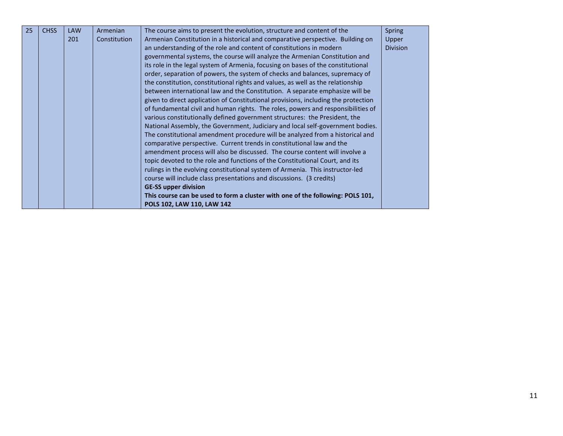| 25 | <b>CHSS</b> | <b>LAW</b> | Armenian     | The course aims to present the evolution, structure and content of the             | <b>Spring</b>   |
|----|-------------|------------|--------------|------------------------------------------------------------------------------------|-----------------|
|    |             | 201        | Constitution | Armenian Constitution in a historical and comparative perspective. Building on     | Upper           |
|    |             |            |              | an understanding of the role and content of constitutions in modern                | <b>Division</b> |
|    |             |            |              | governmental systems, the course will analyze the Armenian Constitution and        |                 |
|    |             |            |              | its role in the legal system of Armenia, focusing on bases of the constitutional   |                 |
|    |             |            |              | order, separation of powers, the system of checks and balances, supremacy of       |                 |
|    |             |            |              | the constitution, constitutional rights and values, as well as the relationship    |                 |
|    |             |            |              | between international law and the Constitution. A separate emphasize will be       |                 |
|    |             |            |              | given to direct application of Constitutional provisions, including the protection |                 |
|    |             |            |              | of fundamental civil and human rights. The roles, powers and responsibilities of   |                 |
|    |             |            |              | various constitutionally defined government structures: the President, the         |                 |
|    |             |            |              | National Assembly, the Government, Judiciary and local self-government bodies.     |                 |
|    |             |            |              | The constitutional amendment procedure will be analyzed from a historical and      |                 |
|    |             |            |              | comparative perspective. Current trends in constitutional law and the              |                 |
|    |             |            |              | amendment process will also be discussed. The course content will involve a        |                 |
|    |             |            |              | topic devoted to the role and functions of the Constitutional Court, and its       |                 |
|    |             |            |              | rulings in the evolving constitutional system of Armenia. This instructor-led      |                 |
|    |             |            |              | course will include class presentations and discussions. (3 credits)               |                 |
|    |             |            |              | <b>GE-SS upper division</b>                                                        |                 |
|    |             |            |              | This course can be used to form a cluster with one of the following: POLS 101,     |                 |
|    |             |            |              | POLS 102, LAW 110, LAW 142                                                         |                 |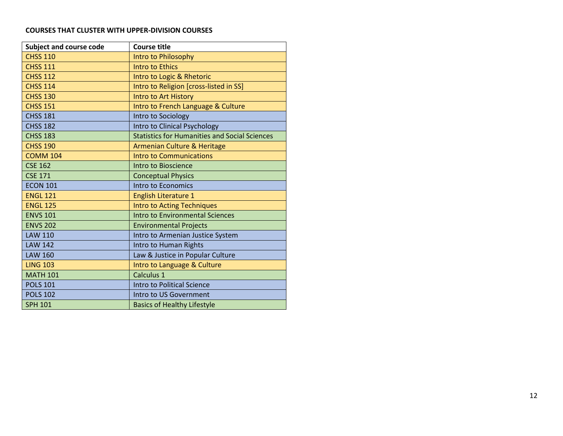## **COURSES THAT CLUSTER WITH UPPER-DIVISION COURSES**

| <b>Subject and course code</b> | <b>Course title</b>                                  |
|--------------------------------|------------------------------------------------------|
| <b>CHSS 110</b>                | Intro to Philosophy                                  |
| <b>CHSS 111</b>                | <b>Intro to Ethics</b>                               |
| <b>CHSS 112</b>                | Intro to Logic & Rhetoric                            |
| <b>CHSS 114</b>                | Intro to Religion [cross-listed in SS]               |
| <b>CHSS 130</b>                | Intro to Art History                                 |
| <b>CHSS 151</b>                | Intro to French Language & Culture                   |
| <b>CHSS 181</b>                | Intro to Sociology                                   |
| <b>CHSS 182</b>                | Intro to Clinical Psychology                         |
| <b>CHSS 183</b>                | <b>Statistics for Humanities and Social Sciences</b> |
| <b>CHSS 190</b>                | Armenian Culture & Heritage                          |
| <b>COMM 104</b>                | <b>Intro to Communications</b>                       |
| <b>CSE 162</b>                 | Intro to Bioscience                                  |
| <b>CSE 171</b>                 | <b>Conceptual Physics</b>                            |
| <b>ECON 101</b>                | Intro to Economics                                   |
| <b>ENGL 121</b>                | <b>English Literature 1</b>                          |
| <b>ENGL 125</b>                | <b>Intro to Acting Techniques</b>                    |
| <b>ENVS 101</b>                | <b>Intro to Environmental Sciences</b>               |
| <b>ENVS 202</b>                | <b>Environmental Projects</b>                        |
| <b>LAW 110</b>                 | Intro to Armenian Justice System                     |
| <b>LAW 142</b>                 | Intro to Human Rights                                |
| <b>LAW 160</b>                 | Law & Justice in Popular Culture                     |
| <b>LING 103</b>                | Intro to Language & Culture                          |
| <b>MATH 101</b>                | Calculus 1                                           |
| <b>POLS 101</b>                | <b>Intro to Political Science</b>                    |
| <b>POLS 102</b>                | Intro to US Government                               |
| <b>SPH 101</b>                 | <b>Basics of Healthy Lifestyle</b>                   |